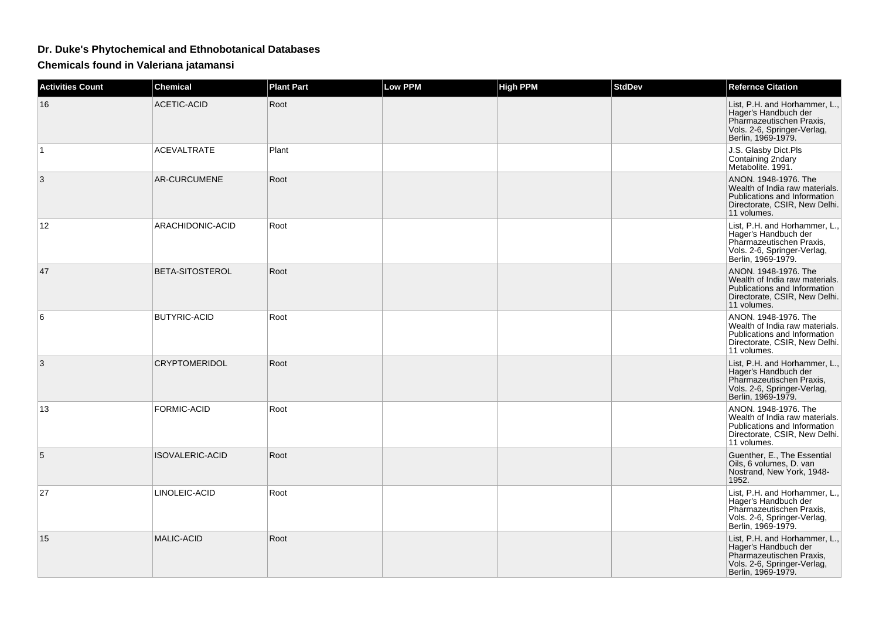## **Dr. Duke's Phytochemical and Ethnobotanical Databases**

**Chemicals found in Valeriana jatamansi**

| <b>Activities Count</b> | <b>Chemical</b>        | <b>Plant Part</b> | <b>Low PPM</b> | <b>High PPM</b> | <b>StdDev</b> | <b>Refernce Citation</b>                                                                                                               |
|-------------------------|------------------------|-------------------|----------------|-----------------|---------------|----------------------------------------------------------------------------------------------------------------------------------------|
| 16                      | <b>ACETIC-ACID</b>     | Root              |                |                 |               | List, P.H. and Horhammer, L.,<br>Hager's Handbuch der<br>Pharmazeutischen Praxis,<br>Vols. 2-6, Springer-Verlag,<br>Berlin, 1969-1979. |
| $\mathbf 1$             | <b>ACEVALTRATE</b>     | Plant             |                |                 |               | J.S. Glasby Dict.Pls<br>Containing 2ndary<br>Metabolite. 1991.                                                                         |
| 3                       | <b>AR-CURCUMENE</b>    | Root              |                |                 |               | ANON. 1948-1976. The<br>Wealth of India raw materials.<br>Publications and Information<br>Directorate, CSIR, New Delhi.<br>11 volumes. |
| 12                      | ARACHIDONIC-ACID       | Root              |                |                 |               | List, P.H. and Horhammer, L.,<br>Hager's Handbuch der<br>Pharmazeutischen Praxis,<br>Vols. 2-6, Springer-Verlag,<br>Berlin, 1969-1979. |
| 47                      | <b>BETA-SITOSTEROL</b> | Root              |                |                 |               | ANON. 1948-1976. The<br>Wealth of India raw materials.<br>Publications and Information<br>Directorate, CSIR, New Delhi.<br>11 volumes. |
| 6                       | <b>BUTYRIC-ACID</b>    | Root              |                |                 |               | ANON. 1948-1976. The<br>Wealth of India raw materials.<br>Publications and Information<br>Directorate, CSIR, New Delhi.<br>11 volumes. |
| 3                       | <b>CRYPTOMERIDOL</b>   | Root              |                |                 |               | List, P.H. and Horhammer, L.,<br>Hager's Handbuch der<br>Pharmazeutischen Praxis,<br>Vols. 2-6, Springer-Verlag,<br>Berlin, 1969-1979. |
| 13                      | <b>FORMIC-ACID</b>     | Root              |                |                 |               | ANON. 1948-1976. The<br>Wealth of India raw materials.<br>Publications and Information<br>Directorate, CSIR, New Delhi.<br>11 volumes. |
| 5                       | <b>ISOVALERIC-ACID</b> | Root              |                |                 |               | Guenther, E., The Essential<br>Oils, 6 volumes, D. van<br>Nostrand, New York, 1948-<br>1952.                                           |
| 27                      | LINOLEIC-ACID          | Root              |                |                 |               | List, P.H. and Horhammer, L.,<br>Hager's Handbuch der<br>Pharmazeutischen Praxis,<br>Vols. 2-6, Springer-Verlag,<br>Berlin, 1969-1979. |
| 15                      | <b>MALIC-ACID</b>      | Root              |                |                 |               | List, P.H. and Horhammer, L.,<br>Hager's Handbuch der<br>Pharmazeutischen Praxis,<br>Vols. 2-6, Springer-Verlag,<br>Berlin, 1969-1979. |